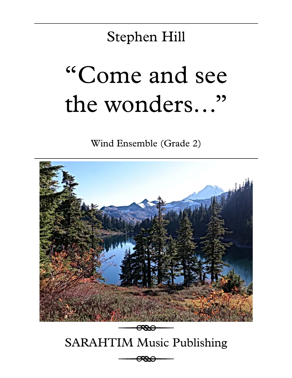# Stephen Hill

# "Come and see the wonders…"

Wind Ensemble (Grade 2)

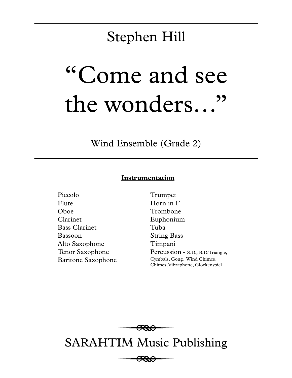# Stephen Hill

# "Come and see the wonders…"

Wind Ensemble (Grade 2)

# **Instrumentation**

Piccolo Flute Oboe Clarinet Bass Clarinet Bassoon Alto Saxophone Tenor Saxophone Baritone Saxophone

Trumpet Horn in F Trombone Euphonium Tuba String Bass Timpani Percussion - S.D., B.D.Triangle, Cymbals, Gong, Wind Chimes, Chimes, Vibraphone, Glockenspiel



# SARAHTIM Music Publishing

<del>0000</del>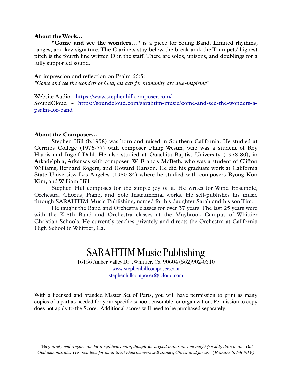# **About the Work...**

**"Come and see the wonders..."** is a piece for Young Band. Limited rhythms, ranges, and key signature. The Clarinets stay below the break and, the Trumpets' highest pitch is the fourth line written D in the staff. There are solos, unisons, and doublings for a fully supported sound.

An impression and reflection on Psalm 66:5: *"Come and see the wonders of God, his acts for humanity are awe-inspiring"*

Website Audio - https://www.stephenhillcomposer.com/ SoundCloud - https://soundcloud.com/sarahtim-music/come-and-see-the-wonders-apsalm-for-band

#### **About the Composer...**

 Stephen Hill (b.1958) was born and raised in Southern California. He studied at Cerritos College (1976-77) with composer Philip Westin, who was a student of Roy Harris and Ingolf Dahl. He also studied at Ouachita Baptist University (1978-80), in Arkadelphia, Arkansas with composer W. Francis McBeth, who was a student of Clifton Williams, Bernard Rogers, and Howard Hanson. He did his graduate work at California State University, Los Angeles (1980-84) where he studied with composers Byong Kon Kim, and William Hill.

 Stephen Hill composes for the simple joy of it. He writes for Wind Ensemble, Orchestra, Chorus, Piano, and Solo Instrumental works. He self-publishes his music through SARAHTIM Music Publishing, named for his daughter Sarah and his son Tim.

 He taught the Band and Orchestra classes for over 37 years. The last 25 years were with the K-8th Band and Orchestra classes at the Maybrook Campus of Whittier Christian Schools. He currently teaches privately and directs the Orchestra at California High School in Whittier, Ca.

# SARAHTIM Music Publishing 16156 Amber Valley Dr. ,Whittier, Ca. 90604 (562)902-0310 www.stephenhillcomposer.com stephenhillcomposer@icloud.com

With a licensed and branded Master Set of Parts, you will have permission to print as many copies of a part as needed for your specific school, ensemble, or organization. Permission to copy does not apply to the Score. Additional scores will need to be purchased separately.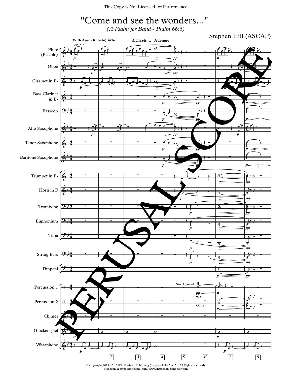

 ${\sf stephenhill composer@icloud.com$  /  ${\sf www.stephenhill composer.com}$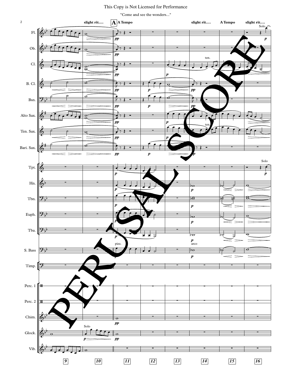"Come and see the wonders..."

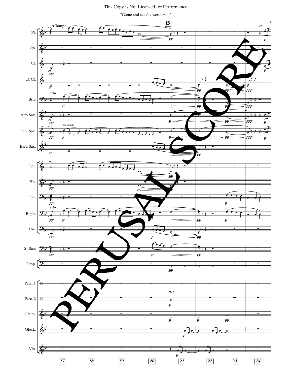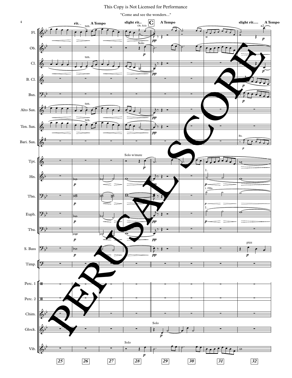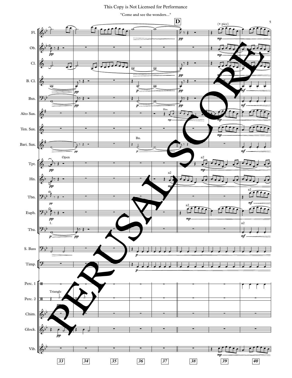This Copy is Not Licensed for Performance

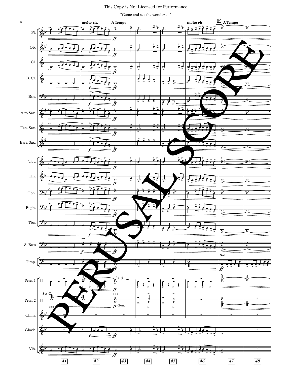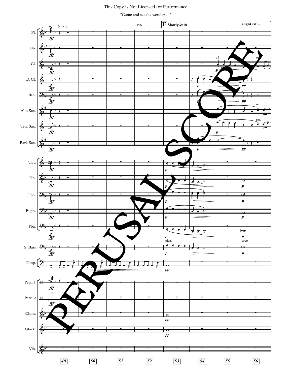

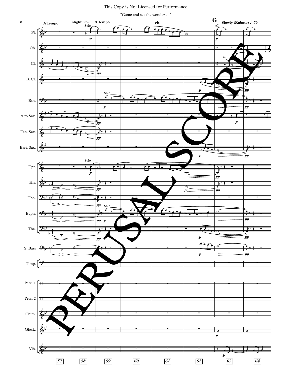